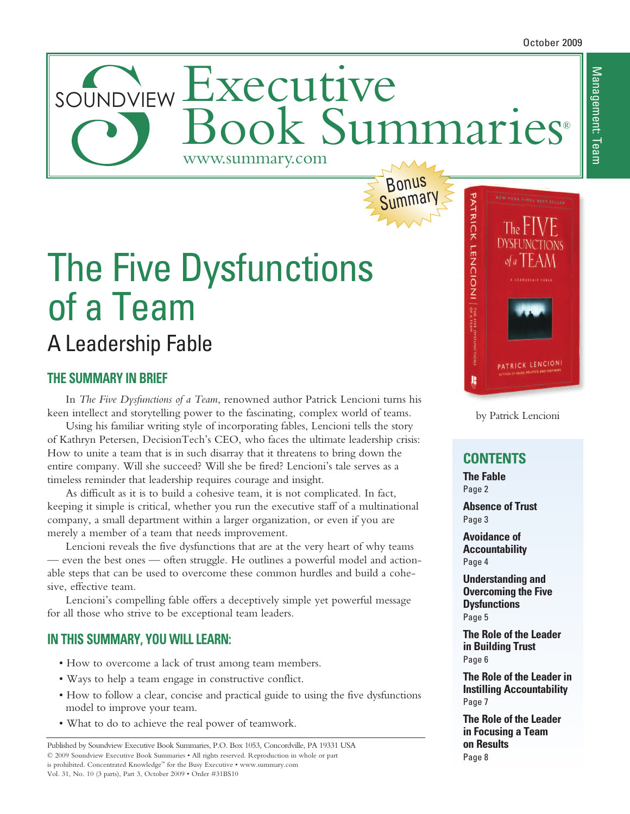# Management: Management: Team

# SOUNDVIEW Executive<br>
Book Summaries® Execut<br>Book<br>WWW.summary.com<br>Dysfunctio

Bonus **Summary** 

# The Five Dysfunctions of a Team A Leadership Fable

### **THE SUMMARY IN BRIEF**

In *The Five Dysfunctions of a Team*, renowned author Patrick Lencioni turns his keen intellect and storytelling power to the fascinating, complex world of teams.

Using his familiar writing style of incorporating fables, Lencioni tells the story of Kathryn Petersen, DecisionTech's CEO, who faces the ultimate leadership crisis: How to unite a team that is in such disarray that it threatens to bring down the entire company. Will she succeed? Will she be fired? Lencioni's tale serves as a timeless reminder that leadership requires courage and insight.

As difficult as it is to build a cohesive team, it is not complicated. In fact, keeping it simple is critical, whether you run the executive staff of a multinational company, a small department within a larger organization, or even if you are merely a member of a team that needs improvement.

Lencioni reveals the five dysfunctions that are at the very heart of why teams — even the best ones — often struggle. He outlines a powerful model and actionable steps that can be used to overcome these common hurdles and build a cohesive, effective team.

Lencioni's compelling fable offers a deceptively simple yet powerful message for all those who strive to be exceptional team leaders.

### **IN THIS SUMMARY, YOU WILL LEARN:**

- How to overcome a lack of trust among team members.
- Ways to help a team engage in constructive conflict.
- How to follow a clear, concise and practical guide to using the five dysfunctions model to improve your team.
- What to do to achieve the real power of teamwork.

Published by Soundview Executive Book Summaries, P.O. Box 1053, Concordville, PA 19331 USA © 2009 Soundview Executive Book Summaries • All rights reserved. Reproduction in whole or part is prohibited. Concentrated Knowledge™ for the Busy Executive • www.summary.com Vol. 31, No. 10 (3 parts), Part 3, October 2009 • Order #31BS10



by Patrick Lencioni

## **CONTENTS**

**The Fable** Page 2

**Absence of Trust** Page 3

**Avoidance of Accountability** Page 4

**Understanding and Overcoming the Five Dysfunctions** Page 5

**The Role of the Leader in Building Trust** Page 6

**The Role of the Leader in Instilling Accountability** Page 7

**The Role of the Leader in Focusing a Team on Results** Page 8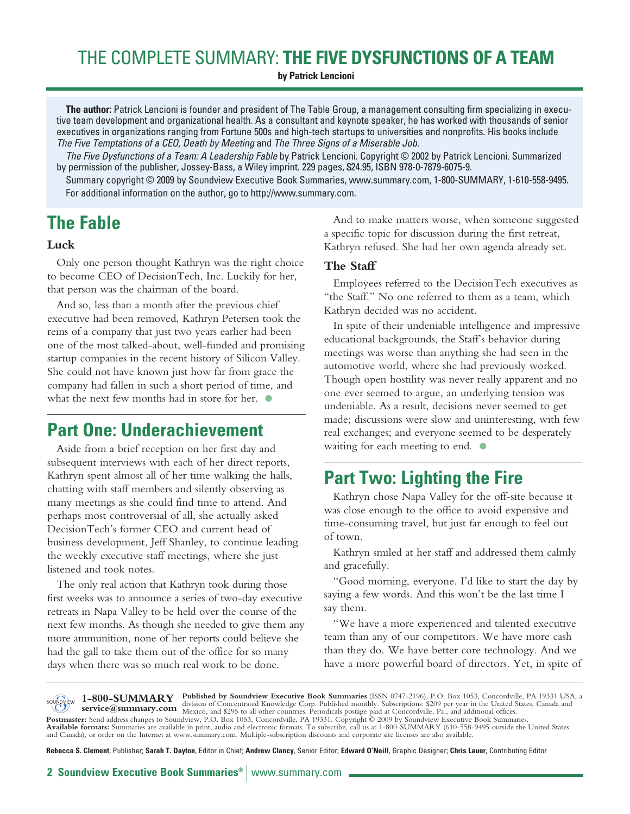# THE COMPLETE SUMMARY: **THE FIVE DYSFUNCTIONS OF A TEAM**

**by Patrick Lencioni**

**The author:** Patrick Lencioni is founder and president of The Table Group, a management consulting firm specializing in executive team development and organizational health. As a consultant and keynote speaker, he has worked with thousands of senior executives in organizations ranging from Fortune 500s and high-tech startups to universities and nonprofits. His books include *The Five Temptations of a CEO, Death by Meeting* and *The Three Signs of a Miserable Job.*

*The Five Dysfunctions of a Team: A Leadership Fable* by Patrick Lencioni. Copyright © 2002 by Patrick Lencioni. Summarized by permission of the publisher, Jossey-Bass, a Wiley imprint. 229 pages, \$24.95, ISBN 978-0-7879-6075-9.

Summary copyright © 2009 by Soundview Executive Book Summaries, www.summary.com, 1-800-SUMMARY, 1-610-558-9495. For additional information on the author, go to http://www.summary.com.

# **The Fable**

### **Luck**

Only one person thought Kathryn was the right choice to become CEO of DecisionTech, Inc. Luckily for her, that person was the chairman of the board.

And so, less than a month after the previous chief executive had been removed, Kathryn Petersen took the reins of a company that just two years earlier had been one of the most talked-about, well-funded and promising startup companies in the recent history of Silicon Valley. She could not have known just how far from grace the company had fallen in such a short period of time, and what the next few months had in store for her. **●**

# **Part One: Underachievement**

Aside from a brief reception on her first day and subsequent interviews with each of her direct reports, Kathryn spent almost all of her time walking the halls, chatting with staff members and silently observing as many meetings as she could find time to attend. And perhaps most controversial of all, she actually asked DecisionTech's former CEO and current head of business development, Jeff Shanley, to continue leading the weekly executive staff meetings, where she just listened and took notes.

The only real action that Kathryn took during those first weeks was to announce a series of two-day executive retreats in Napa Valley to be held over the course of the next few months. As though she needed to give them any more ammunition, none of her reports could believe she had the gall to take them out of the office for so many days when there was so much real work to be done.

And to make matters worse, when someone suggested a specific topic for discussion during the first retreat, Kathryn refused. She had her own agenda already set.

### **The Staff**

Employees referred to the DecisionTech executives as "the Staff." No one referred to them as a team, which Kathryn decided was no accident.

In spite of their undeniable intelligence and impressive educational backgrounds, the Staff's behavior during meetings was worse than anything she had seen in the automotive world, where she had previously worked. Though open hostility was never really apparent and no one ever seemed to argue, an underlying tension was undeniable. As a result, decisions never seemed to get made; discussions were slow and uninteresting, with few real exchanges; and everyone seemed to be desperately waiting for each meeting to end. **●**

# **Part Two: Lighting the Fire**

Kathryn chose Napa Valley for the off-site because it was close enough to the office to avoid expensive and time-consuming travel, but just far enough to feel out of town.

Kathryn smiled at her staff and addressed them calmly and gracefully.

"Good morning, everyone. I'd like to start the day by saying a few words. And this won't be the last time I say them.

"We have a more experienced and talented executive team than any of our competitors. We have more cash than they do. We have better core technology. And we have a more powerful board of directors. Yet, in spite of

Published by Soundview Executive Book Summaries (ISSN 0747-2196), P.O. Box 1053, Concordville, PA 19331 USA, a<br>division of Concentrated Knowledge Corp. Published monthly. Subscriptions: \$209 per year in the United States, **SETVICE (WSUITHTATY.COTT** Mexico, and \$295 to all other countries. Periodicals postage paid at Concordville, Pa., and additional offices.<br>**Postmaster:** Send address changes to Soundview, P.O. Box 1053, Concordville, PA 19 **1-800-SUMMARY service@summary.com**

Rebecca S. Clement, Publisher; Sarah T. Dayton, Editor in Chief; Andrew Clancy, Senior Editor; Edward O'Neill, Graphic Designer; Chris Lauer, Contributing Editor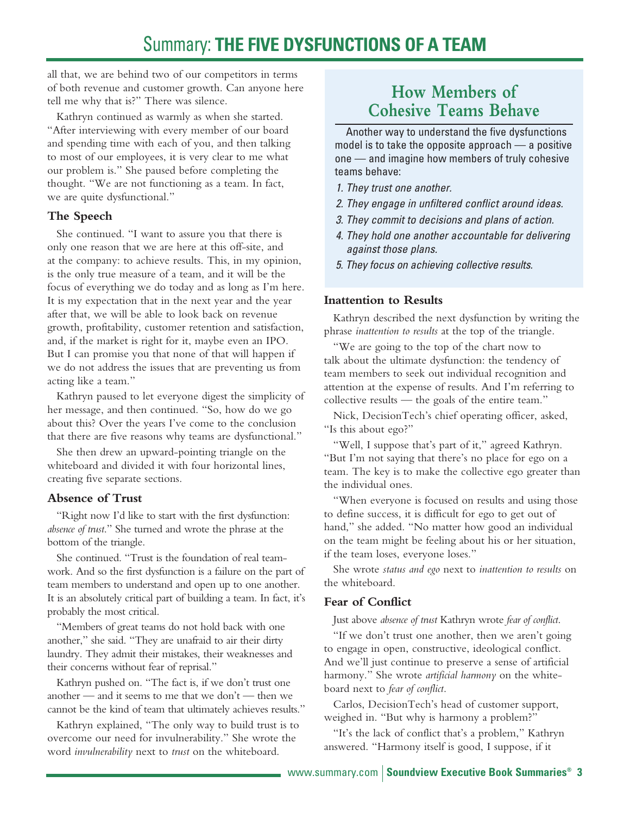all that, we are behind two of our competitors in terms of both revenue and customer growth. Can anyone here tell me why that is?" There was silence.

Kathryn continued as warmly as when she started. "After interviewing with every member of our board and spending time with each of you, and then talking to most of our employees, it is very clear to me what our problem is." She paused before completing the thought. "We are not functioning as a team. In fact, we are quite dysfunctional."

### **The Speech**

She continued. "I want to assure you that there is only one reason that we are here at this off-site, and at the company: to achieve results. This, in my opinion, is the only true measure of a team, and it will be the focus of everything we do today and as long as I'm here. It is my expectation that in the next year and the year after that, we will be able to look back on revenue growth, profitability, customer retention and satisfaction, and, if the market is right for it, maybe even an IPO. But I can promise you that none of that will happen if we do not address the issues that are preventing us from acting like a team."

Kathryn paused to let everyone digest the simplicity of her message, and then continued. "So, how do we go about this? Over the years I've come to the conclusion that there are five reasons why teams are dysfunctional."

She then drew an upward-pointing triangle on the whiteboard and divided it with four horizontal lines, creating five separate sections.

### **Absence of Trust**

"Right now I'd like to start with the first dysfunction: *absence of trust*." She turned and wrote the phrase at the bottom of the triangle.

She continued. "Trust is the foundation of real teamwork. And so the first dysfunction is a failure on the part of team members to understand and open up to one another. It is an absolutely critical part of building a team. In fact, it's probably the most critical.

"Members of great teams do not hold back with one another," she said. "They are unafraid to air their dirty laundry. They admit their mistakes, their weaknesses and their concerns without fear of reprisal."

Kathryn pushed on. "The fact is, if we don't trust one another — and it seems to me that we don't — then we cannot be the kind of team that ultimately achieves results."

Kathryn explained, "The only way to build trust is to overcome our need for invulnerability." She wrote the word *invulnerability* next to *trust* on the whiteboard.

# **How Members of Cohesive Teams Behave**

Another way to understand the five dysfunctions model is to take the opposite approach — a positive one — and imagine how members of truly cohesive teams behave:

- *1. They trust one another.*
- *2. They engage in unfiltered conflict around ideas.*
- *3. They commit to decisions and plans of action.*
- *4. They hold one another accountable for delivering against those plans.*
- *5. They focus on achieving collective results.*

### **Inattention to Results**

Kathryn described the next dysfunction by writing the phrase *inattention to results* at the top of the triangle.

"We are going to the top of the chart now to talk about the ultimate dysfunction: the tendency of team members to seek out individual recognition and attention at the expense of results. And I'm referring to collective results — the goals of the entire team."

Nick, DecisionTech's chief operating officer, asked, "Is this about ego?"

"Well, I suppose that's part of it," agreed Kathryn. "But I'm not saying that there's no place for ego on a team. The key is to make the collective ego greater than the individual ones.

"When everyone is focused on results and using those to define success, it is difficult for ego to get out of hand," she added. "No matter how good an individual on the team might be feeling about his or her situation, if the team loses, everyone loses."

She wrote *status and ego* next to *inattention to results* on the whiteboard.

### **Fear of Conflict**

Just above *absence of trust* Kathryn wrote *fear of conflict*.

"If we don't trust one another, then we aren't going to engage in open, constructive, ideological conflict. And we'll just continue to preserve a sense of artificial harmony." She wrote *artificial harmony* on the whiteboard next to *fear of conflict*.

Carlos, DecisionTech's head of customer support, weighed in. "But why is harmony a problem?"

"It's the lack of conflict that's a problem," Kathryn answered. "Harmony itself is good, I suppose, if it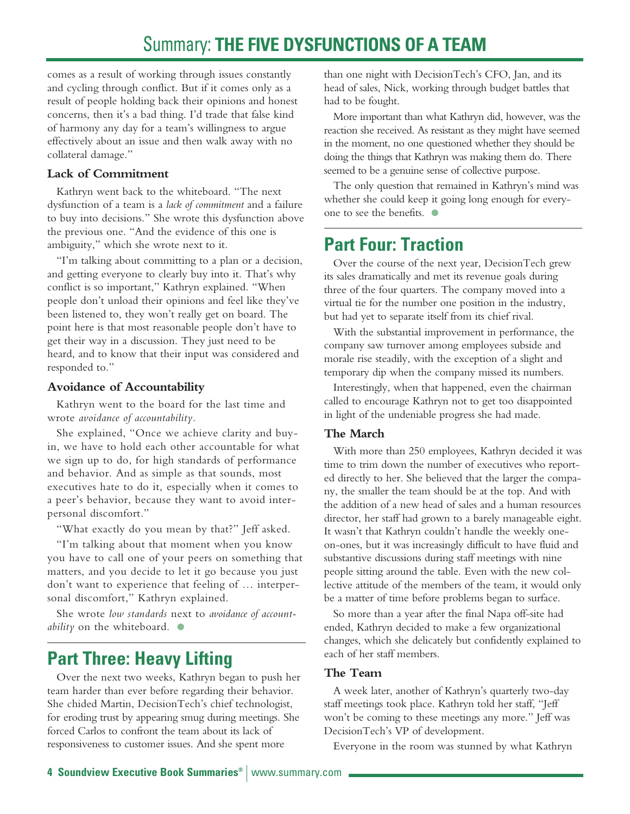comes as a result of working through issues constantly and cycling through conflict. But if it comes only as a result of people holding back their opinions and honest concerns, then it's a bad thing. I'd trade that false kind of harmony any day for a team's willingness to argue effectively about an issue and then walk away with no collateral damage."

### **Lack of Commitment**

Kathryn went back to the whiteboard. "The next dysfunction of a team is a *lack of commitment* and a failure to buy into decisions." She wrote this dysfunction above the previous one. "And the evidence of this one is ambiguity," which she wrote next to it.

"I'm talking about committing to a plan or a decision, and getting everyone to clearly buy into it. That's why conflict is so important," Kathryn explained. "When people don't unload their opinions and feel like they've been listened to, they won't really get on board. The point here is that most reasonable people don't have to get their way in a discussion. They just need to be heard, and to know that their input was considered and responded to."

### **Avoidance of Accountability**

Kathryn went to the board for the last time and wrote *avoidance of accountability.*

She explained, "Once we achieve clarity and buyin, we have to hold each other accountable for what we sign up to do, for high standards of performance and behavior. And as simple as that sounds, most executives hate to do it, especially when it comes to a peer's behavior, because they want to avoid interpersonal discomfort."

"What exactly do you mean by that?" Jeff asked.

"I'm talking about that moment when you know you have to call one of your peers on something that matters, and you decide to let it go because you just don't want to experience that feeling of … interpersonal discomfort," Kathryn explained.

She wrote *low standards* next to *avoidance of accountability* on the whiteboard. **●**

# **Part Three: Heavy Lifting**

Over the next two weeks, Kathryn began to push her team harder than ever before regarding their behavior. She chided Martin, DecisionTech's chief technologist, for eroding trust by appearing smug during meetings. She forced Carlos to confront the team about its lack of responsiveness to customer issues. And she spent more

than one night with DecisionTech's CFO, Jan, and its head of sales, Nick, working through budget battles that had to be fought.

More important than what Kathryn did, however, was the reaction she received. As resistant as they might have seemed in the moment, no one questioned whether they should be doing the things that Kathryn was making them do. There seemed to be a genuine sense of collective purpose.

The only question that remained in Kathryn's mind was whether she could keep it going long enough for everyone to see the benefits. **●**

# **Part Four: Traction**

Over the course of the next year, DecisionTech grew its sales dramatically and met its revenue goals during three of the four quarters. The company moved into a virtual tie for the number one position in the industry, but had yet to separate itself from its chief rival.

With the substantial improvement in performance, the company saw turnover among employees subside and morale rise steadily, with the exception of a slight and temporary dip when the company missed its numbers.

Interestingly, when that happened, even the chairman called to encourage Kathryn not to get too disappointed in light of the undeniable progress she had made.

### **The March**

With more than 250 employees, Kathryn decided it was time to trim down the number of executives who reported directly to her. She believed that the larger the company, the smaller the team should be at the top. And with the addition of a new head of sales and a human resources director, her staff had grown to a barely manageable eight. It wasn't that Kathryn couldn't handle the weekly oneon-ones, but it was increasingly difficult to have fluid and substantive discussions during staff meetings with nine people sitting around the table. Even with the new collective attitude of the members of the team, it would only be a matter of time before problems began to surface.

So more than a year after the final Napa off-site had ended, Kathryn decided to make a few organizational changes, which she delicately but confidently explained to each of her staff members.

### **The Team**

A week later, another of Kathryn's quarterly two-day staff meetings took place. Kathryn told her staff, "Jeff won't be coming to these meetings any more." Jeff was DecisionTech's VP of development.

Everyone in the room was stunned by what Kathryn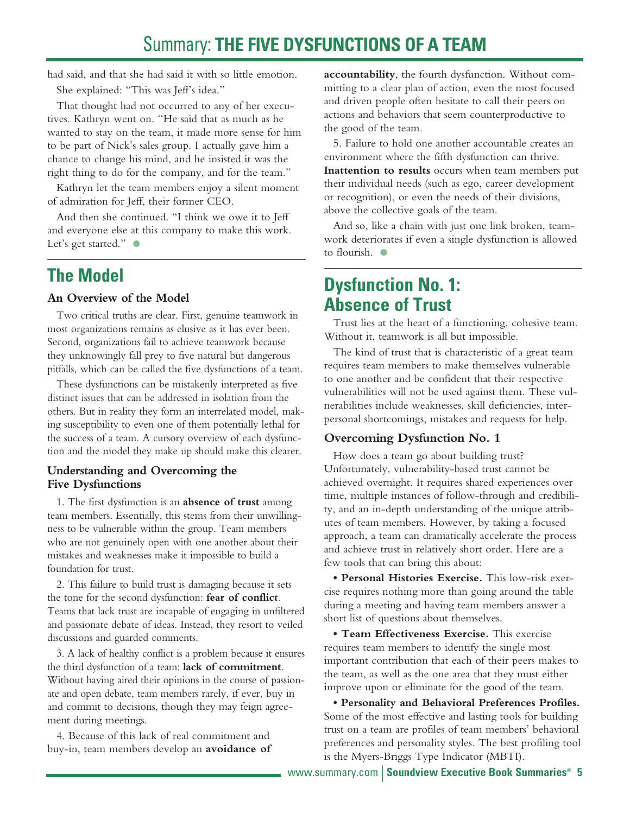had said, and that she had said it with so little emotion. She explained: "This was Jeff's idea."

That thought had not occurred to any of her executives. Kathryn went on. "He said that as much as he wanted to stay on the team, it made more sense for him to be part of Nick's sales group. I actually gave him a chance to change his mind, and he insisted it was the right thing to do for the company, and for the team."

Kathryn let the team members enjoy a silent moment of admiration for Jeff, their former CEO.

And then she continued. "I think we owe it to Jeff and everyone else at this company to make this work. Let's get started." **●**

# **The Model**

### **An Overview of the Model**

Two critical truths are clear. First, genuine teamwork in most organizations remains as elusive as it has ever been. Second, organizations fail to achieve teamwork because they unknowingly fall prey to five natural but dangerous pitfalls, which can be called the five dysfunctions of a team.

These dysfunctions can be mistakenly interpreted as five distinct issues that can be addressed in isolation from the others. But in reality they form an interrelated model, making susceptibility to even one of them potentially lethal for the success of a team. A cursory overview of each dysfunction and the model they make up should make this clearer.

### **Understanding and Overcoming the Five Dysfunctions**

1. The first dysfunction is an **absence of trust** among team members. Essentially, this stems from their unwillingness to be vulnerable within the group. Team members who are not genuinely open with one another about their mistakes and weaknesses make it impossible to build a foundation for trust.

2. This failure to build trust is damaging because it sets the tone for the second dysfunction: **fear of conflict**. Teams that lack trust are incapable of engaging in unfiltered and passionate debate of ideas. Instead, they resort to veiled discussions and guarded comments.

3. A lack of healthy conflict is a problem because it ensures the third dysfunction of a team: **lack of commitment**. Without having aired their opinions in the course of passionate and open debate, team members rarely, if ever, buy in and commit to decisions, though they may feign agreement during meetings.

4. Because of this lack of real commitment and buy-in, team members develop an **avoidance of** **accountability**, the fourth dysfunction. Without committing to a clear plan of action, even the most focused and driven people often hesitate to call their peers on actions and behaviors that seem counterproductive to the good of the team.

5. Failure to hold one another accountable creates an environment where the fifth dysfunction can thrive. **Inattention to results** occurs when team members put their individual needs (such as ego, career development or recognition), or even the needs of their divisions, above the collective goals of the team.

And so, like a chain with just one link broken, teamwork deteriorates if even a single dysfunction is allowed to flourish. **●**

# **Dysfunction No. 1: Absence of Trust**

Trust lies at the heart of a functioning, cohesive team. Without it, teamwork is all but impossible.

The kind of trust that is characteristic of a great team requires team members to make themselves vulnerable to one another and be confident that their respective vulnerabilities will not be used against them. These vulnerabilities include weaknesses, skill deficiencies, interpersonal shortcomings, mistakes and requests for help.

### **Overcoming Dysfunction No. 1**

How does a team go about building trust? Unfortunately, vulnerability-based trust cannot be achieved overnight. It requires shared experiences over time, multiple instances of follow-through and credibility, and an in-depth understanding of the unique attributes of team members. However, by taking a focused approach, a team can dramatically accelerate the process and achieve trust in relatively short order. Here are a few tools that can bring this about:

**• Personal Histories Exercise.** This low-risk exercise requires nothing more than going around the table during a meeting and having team members answer a short list of questions about themselves.

**• Team Effectiveness Exercise.** This exercise requires team members to identify the single most important contribution that each of their peers makes to the team, as well as the one area that they must either improve upon or eliminate for the good of the team.

**• Personality and Behavioral Preferences Profiles.** Some of the most effective and lasting tools for building trust on a team are profiles of team members' behavioral preferences and personality styles. The best profiling tool is the Myers-Briggs Type Indicator (MBTI).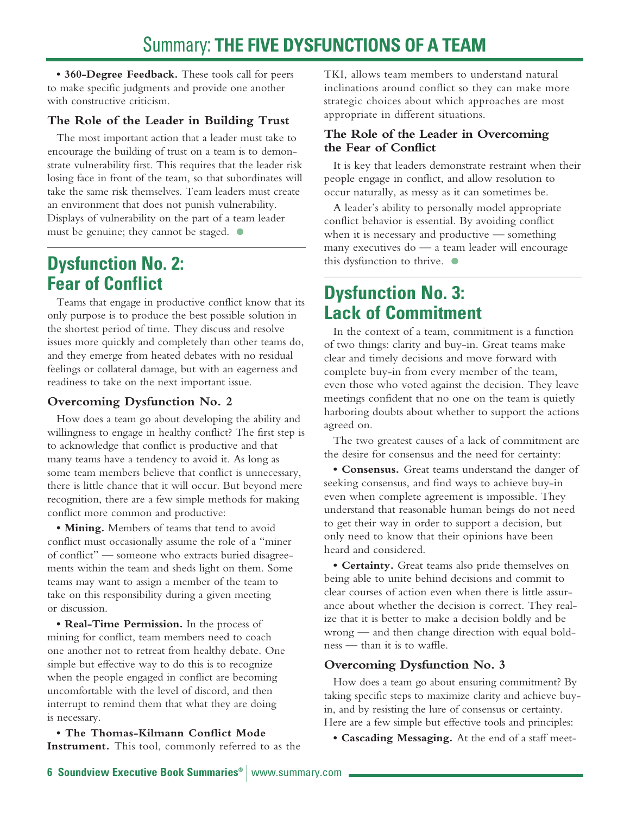**• 360-Degree Feedback.** These tools call for peers to make specific judgments and provide one another with constructive criticism.

### **The Role of the Leader in Building Trust**

The most important action that a leader must take to encourage the building of trust on a team is to demonstrate vulnerability first. This requires that the leader risk losing face in front of the team, so that subordinates will take the same risk themselves. Team leaders must create an environment that does not punish vulnerability. Displays of vulnerability on the part of a team leader must be genuine; they cannot be staged. **●**

# **Dysfunction No. 2: Fear of Conflict**

Teams that engage in productive conflict know that its only purpose is to produce the best possible solution in the shortest period of time. They discuss and resolve issues more quickly and completely than other teams do, and they emerge from heated debates with no residual feelings or collateral damage, but with an eagerness and readiness to take on the next important issue.

### **Overcoming Dysfunction No. 2**

How does a team go about developing the ability and willingness to engage in healthy conflict? The first step is to acknowledge that conflict is productive and that many teams have a tendency to avoid it. As long as some team members believe that conflict is unnecessary, there is little chance that it will occur. But beyond mere recognition, there are a few simple methods for making conflict more common and productive:

**• Mining.** Members of teams that tend to avoid conflict must occasionally assume the role of a "miner of conflict" — someone who extracts buried disagreements within the team and sheds light on them. Some teams may want to assign a member of the team to take on this responsibility during a given meeting or discussion.

**• Real-Time Permission.** In the process of mining for conflict, team members need to coach one another not to retreat from healthy debate. One simple but effective way to do this is to recognize when the people engaged in conflict are becoming uncomfortable with the level of discord, and then interrupt to remind them that what they are doing is necessary.

**• The Thomas-Kilmann Conflict Mode Instrument.** This tool, commonly referred to as the TKI, allows team members to understand natural inclinations around conflict so they can make more strategic choices about which approaches are most appropriate in different situations.

### **The Role of the Leader in Overcoming the Fear of Conflict**

It is key that leaders demonstrate restraint when their people engage in conflict, and allow resolution to occur naturally, as messy as it can sometimes be.

A leader's ability to personally model appropriate conflict behavior is essential. By avoiding conflict when it is necessary and productive — something many executives do — a team leader will encourage this dysfunction to thrive. **●**

# **Dysfunction No. 3: Lack of Commitment**

In the context of a team, commitment is a function of two things: clarity and buy-in. Great teams make clear and timely decisions and move forward with complete buy-in from every member of the team, even those who voted against the decision. They leave meetings confident that no one on the team is quietly harboring doubts about whether to support the actions agreed on.

The two greatest causes of a lack of commitment are the desire for consensus and the need for certainty:

**• Consensus.** Great teams understand the danger of seeking consensus, and find ways to achieve buy-in even when complete agreement is impossible. They understand that reasonable human beings do not need to get their way in order to support a decision, but only need to know that their opinions have been heard and considered.

**• Certainty.** Great teams also pride themselves on being able to unite behind decisions and commit to clear courses of action even when there is little assurance about whether the decision is correct. They realize that it is better to make a decision boldly and be wrong — and then change direction with equal boldness — than it is to waffle.

### **Overcoming Dysfunction No. 3**

How does a team go about ensuring commitment? By taking specific steps to maximize clarity and achieve buyin, and by resisting the lure of consensus or certainty. Here are a few simple but effective tools and principles:

**• Cascading Messaging.** At the end of a staff meet-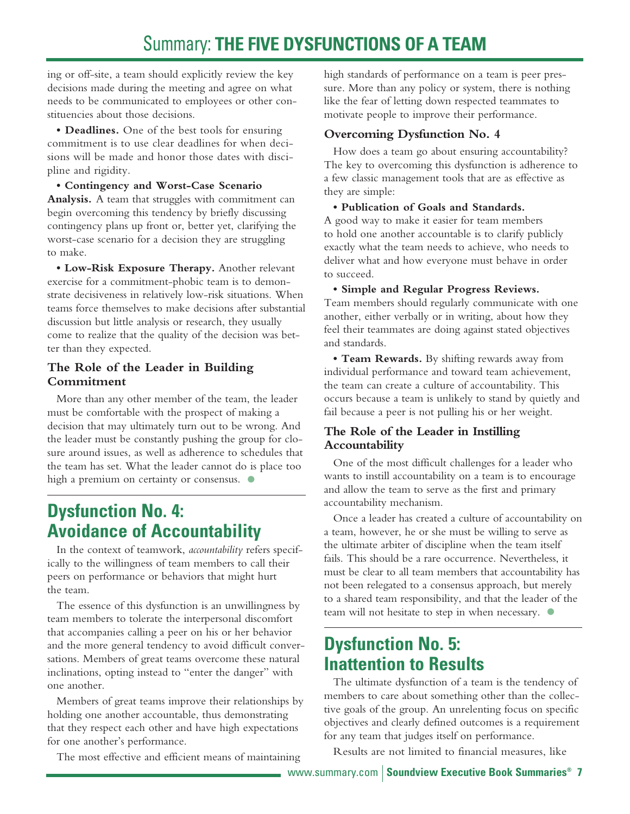ing or off-site, a team should explicitly review the key decisions made during the meeting and agree on what needs to be communicated to employees or other constituencies about those decisions.

**• Deadlines.** One of the best tools for ensuring commitment is to use clear deadlines for when decisions will be made and honor those dates with discipline and rigidity.

**• Contingency and Worst-Case Scenario Analysis.** A team that struggles with commitment can begin overcoming this tendency by briefly discussing contingency plans up front or, better yet, clarifying the worst-case scenario for a decision they are struggling to make.

**• Low-Risk Exposure Therapy.** Another relevant exercise for a commitment-phobic team is to demonstrate decisiveness in relatively low-risk situations. When teams force themselves to make decisions after substantial discussion but little analysis or research, they usually come to realize that the quality of the decision was better than they expected.

### **The Role of the Leader in Building Commitment**

More than any other member of the team, the leader must be comfortable with the prospect of making a decision that may ultimately turn out to be wrong. And the leader must be constantly pushing the group for closure around issues, as well as adherence to schedules that the team has set. What the leader cannot do is place too high a premium on certainty or consensus. **●**

# **Dysfunction No. 4: Avoidance of Accountability**

In the context of teamwork, *accountability* refers specifically to the willingness of team members to call their peers on performance or behaviors that might hurt the team.

The essence of this dysfunction is an unwillingness by team members to tolerate the interpersonal discomfort that accompanies calling a peer on his or her behavior and the more general tendency to avoid difficult conversations. Members of great teams overcome these natural inclinations, opting instead to "enter the danger" with one another.

Members of great teams improve their relationships by holding one another accountable, thus demonstrating that they respect each other and have high expectations for one another's performance.

The most effective and efficient means of maintaining

high standards of performance on a team is peer pressure. More than any policy or system, there is nothing like the fear of letting down respected teammates to motivate people to improve their performance.

### **Overcoming Dysfunction No. 4**

How does a team go about ensuring accountability? The key to overcoming this dysfunction is adherence to a few classic management tools that are as effective as they are simple:

### **• Publication of Goals and Standards.**

A good way to make it easier for team members to hold one another accountable is to clarify publicly exactly what the team needs to achieve, who needs to deliver what and how everyone must behave in order to succeed.

**• Simple and Regular Progress Reviews.** Team members should regularly communicate with one another, either verbally or in writing, about how they feel their teammates are doing against stated objectives and standards.

**• Team Rewards.** By shifting rewards away from individual performance and toward team achievement, the team can create a culture of accountability. This occurs because a team is unlikely to stand by quietly and fail because a peer is not pulling his or her weight.

### **The Role of the Leader in Instilling Accountability**

One of the most difficult challenges for a leader who wants to instill accountability on a team is to encourage and allow the team to serve as the first and primary accountability mechanism.

Once a leader has created a culture of accountability on a team, however, he or she must be willing to serve as the ultimate arbiter of discipline when the team itself fails. This should be a rare occurrence. Nevertheless, it must be clear to all team members that accountability has not been relegated to a consensus approach, but merely to a shared team responsibility, and that the leader of the team will not hesitate to step in when necessary. **●**

# **Dysfunction No. 5: Inattention to Results**

The ultimate dysfunction of a team is the tendency of members to care about something other than the collective goals of the group. An unrelenting focus on specific objectives and clearly defined outcomes is a requirement for any team that judges itself on performance.

Results are not limited to financial measures, like